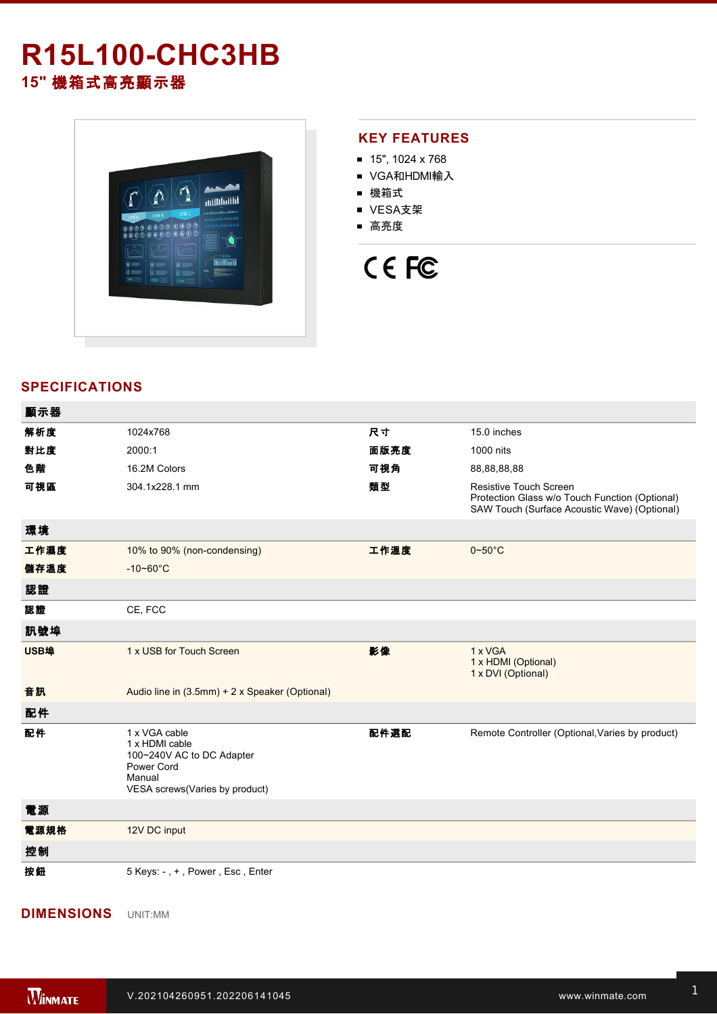# **R15L100-CHC3HB 15"** 機箱式高亮顯示器



### **KEY FEATURES**

- $15"$ , 1024 x 768
- VGA和HDMI輸入
- 機箱式
- VESA支架
- 高亮度

# CE FC

## **SPECIFICATIONS**

| 顯示器  |                                                                                                                        |      |                                                                                                                                 |
|------|------------------------------------------------------------------------------------------------------------------------|------|---------------------------------------------------------------------------------------------------------------------------------|
| 解析度  | 1024x768                                                                                                               | 尺寸   | 15.0 inches                                                                                                                     |
| 對比度  | 2000:1                                                                                                                 | 面版亮度 | 1000 nits                                                                                                                       |
| 色階   | 16.2M Colors                                                                                                           | 可視角  | 88,88,88,88                                                                                                                     |
| 可視區  | 304.1x228.1 mm                                                                                                         | 類型   | <b>Resistive Touch Screen</b><br>Protection Glass w/o Touch Function (Optional)<br>SAW Touch (Surface Acoustic Wave) (Optional) |
| 環境   |                                                                                                                        |      |                                                                                                                                 |
| 工作濕度 | 10% to 90% (non-condensing)                                                                                            | 工作溫度 | $0 - 50$ °C                                                                                                                     |
| 儲存溫度 | $-10 - 60^{\circ}$ C                                                                                                   |      |                                                                                                                                 |
| 認證   |                                                                                                                        |      |                                                                                                                                 |
| 認證   | CE, FCC                                                                                                                |      |                                                                                                                                 |
| 訊號埠  |                                                                                                                        |      |                                                                                                                                 |
| USB埠 | 1 x USB for Touch Screen                                                                                               | 影像   | 1 x VGA<br>1 x HDMI (Optional)<br>1 x DVI (Optional)                                                                            |
| 音訊   | Audio line in (3.5mm) + 2 x Speaker (Optional)                                                                         |      |                                                                                                                                 |
| 配件   |                                                                                                                        |      |                                                                                                                                 |
| 配件   | 1 x VGA cable<br>1 x HDMI cable<br>100~240V AC to DC Adapter<br>Power Cord<br>Manual<br>VESA screws(Varies by product) | 配件選配 | Remote Controller (Optional, Varies by product)                                                                                 |
| 電源   |                                                                                                                        |      |                                                                                                                                 |
| 電源規格 | 12V DC input                                                                                                           |      |                                                                                                                                 |
| 控制   |                                                                                                                        |      |                                                                                                                                 |
|      |                                                                                                                        |      |                                                                                                                                 |

#### **DIMENSIONS**  UNIT:MM